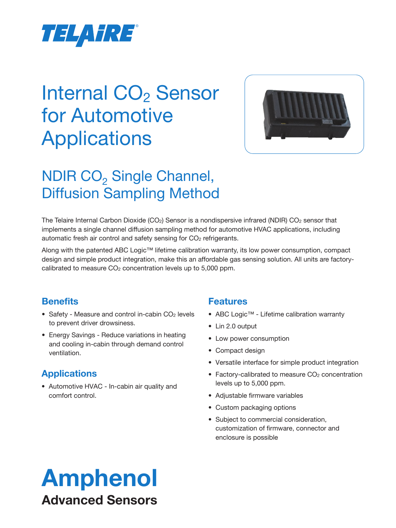

# Internal CO<sub>2</sub> Sensor for Automotive **Applications**



# NDIR CO<sub>2</sub> Single Channel, Diffusion Sampling Method

The Telaire Internal Carbon Dioxide (CO<sub>2</sub>) Sensor is a nondispersive infrared (NDIR) CO<sub>2</sub> sensor that implements a single channel diffusion sampling method for automotive HVAC applications, including automatic fresh air control and safety sensing for CO<sub>2</sub> refrigerants.

Along with the patented ABC Logic™ lifetime calibration warranty, its low power consumption, compact design and simple product integration, make this an affordable gas sensing solution. All units are factorycalibrated to measure CO<sub>2</sub> concentration levels up to 5,000 ppm.

# **Benefits**

- Safety Measure and control in-cabin CO<sub>2</sub> levels to prevent driver drowsiness.
- Energy Savings Reduce variations in heating and cooling in-cabin through demand control ventilation.

# **Applications**

• Automotive HVAC - In-cabin air quality and comfort control.

# **Features**

- ABC Logic™ Lifetime calibration warranty
- Lin 2.0 output
- Low power consumption
- Compact design
- Versatile interface for simple product integration
- Factory-calibrated to measure CO<sub>2</sub> concentration levels up to 5,000 ppm.
- Adjustable firmware variables
- Custom packaging options
- Subject to commercial consideration, customization of firmware, connector and enclosure is possible

# Amphenol Advanced Sensors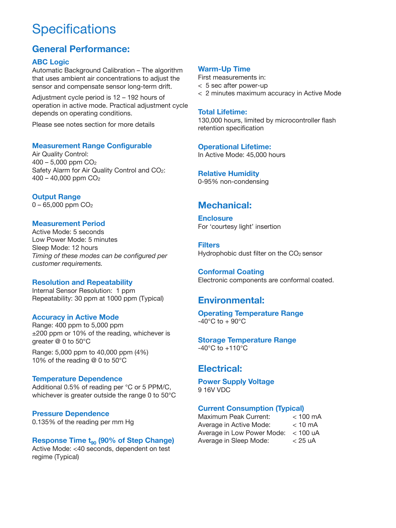# **Specifications**

# **General Performance:**

### **ABC Logic**

Automatic Background Calibration – The algorithm that uses ambient air concentrations to adjust the sensor and compensate sensor long-term drift.

Adjustment cycle period is 12 – 192 hours of operation in active mode. Practical adjustment cycle depends on operating conditions.

Please see notes section for more details

### **Measurement Range Configurable**

Air Quality Control:  $400 - 5,000$  ppm  $CO<sub>2</sub>$ Safety Alarm for Air Quality Control and CO2:  $400 - 40,000$  ppm  $CO<sub>2</sub>$ 

**Output Range**

0 – 65,000 ppm CO2

### **Measurement Period**

Active Mode: 5 seconds Low Power Mode: 5 minutes Sleep Mode: 12 hours *Timing of these modes can be configured per customer requirements.*

### **Resolution and Repeatability**

Internal Sensor Resolution: 1 ppm Repeatability: 30 ppm at 1000 ppm (Typical)

### **Accuracy in Active Mode**

Range: 400 ppm to 5,000 ppm ±200 ppm or 10% of the reading, whichever is greater @ 0 to 50°C

Range: 5,000 ppm to 40,000 ppm (4%) 10% of the reading @ 0 to 50°C

### **Temperature Dependence**

Additional 0.5% of reading per °C or 5 PPM/C, whichever is greater outside the range 0 to 50°C

### **Pressure Dependence**

0.135% of the reading per mm Hg

### **Response Time t<sub>90</sub> (90% of Step Change)**

Active Mode: <40 seconds, dependent on test regime (Typical)

### **Warm-Up Time**

First measurements in:

- < 5 sec after power-up
- < 2 minutes maximum accuracy in Active Mode

### **Total Lifetime:**

130,000 hours, limited by microcontroller flash retention specification

**Operational Lifetime:** In Active Mode: 45,000 hours

**Relative Humidity** 0-95% non-condensing

# **Mechanical:**

**Enclosure** For 'courtesy light' insertion

**Filters** Hydrophobic dust filter on the CO<sub>2</sub> sensor

**Conformal Coating** Electronic components are conformal coated.

# **Environmental:**

#### **Operating Temperature Range**  $-40^{\circ}$ C to  $+90^{\circ}$ C

**Storage Temperature Range** -40°C to +110°C

# **Electrical:**

**Power Supply Voltage** 9 16V VDC

### **Current Consumption (Typical)**

Maximum Peak Current: < 100 mA Average in Active Mode: < 10 mA Average in Low Power Mode: < 100 uA Average in Sleep Mode: < 25 uA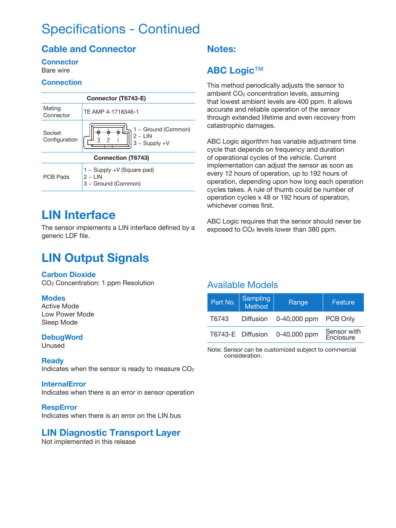# Specifications - Continued

# **Cable and Connector**

## **Connector**

Bare wire

### **Connection**

| Connector (T6743-E)       |                                                                        |  |  |  |
|---------------------------|------------------------------------------------------------------------|--|--|--|
| Mating<br>Connector       | TF AMP 4-1718346-1                                                     |  |  |  |
| Socket<br>Configuration   | 1 ~ Ground (Common)<br>$2 \sim$ LIN<br>$3 \sim$ Supply +V              |  |  |  |
| <b>Connection (T6743)</b> |                                                                        |  |  |  |
| PCB Pads                  | $1 \sim$ Supply +V (Square pad)<br>$2 \sim$ LIN<br>3 ~ Ground (Common) |  |  |  |

# **LIN Interface**

The sensor implements a LIN interface defined by a generic LDF file.

# **LIN Output Signals**

### **Carbon Dioxide**

CO2 Concentration: 1 ppm Resolution

### **Modes**

Active Mode Low Power Mode Sleep Mode

### **DebugWord**

Unused

### **Ready**

Indicates when the sensor is ready to measure  $CO<sub>2</sub>$ 

### **InternalError**

Indicates when there is an error in sensor operation

### **RespError**

Indicates when there is an error on the LIN bus

# **LIN Diagnostic Transport Layer**

Not implemented in this release

# **Notes:**

# **ABC Logic**™

This method periodically adjusts the sensor to ambient CO<sub>2</sub> concentration levels, assuming that lowest ambient levels are 400 ppm. It allows accurate and reliable operation of the sensor through extended lifetime and even recovery from catastrophic damages.

ABC Logic algorithm has variable adjustment time cycle that depends on frequency and duration of operational cycles of the vehicle. Current implementation can adjust the sensor as soon as every 12 hours of operation, up to 192 hours of operation, depending upon how long each operation cycles takes. A rule of thumb could be number of operation cycles x 48 or 192 hours of operation, whichever comes first.

ABC Logic requires that the sensor should never be exposed to CO<sub>2</sub> levels lower than 380 ppm.

# Available Models

| Part No. | <b>Sampling</b><br>Method | Range        | Feature                  |
|----------|---------------------------|--------------|--------------------------|
| T6743    | Diffusion                 | 0-40,000 ppm | <b>PCB Only</b>          |
|          | T6743-E Diffusion         | 0-40,000 ppm | Sensor with<br>Enclosure |

Note: Sensor can be customized subject to commercial consideration.